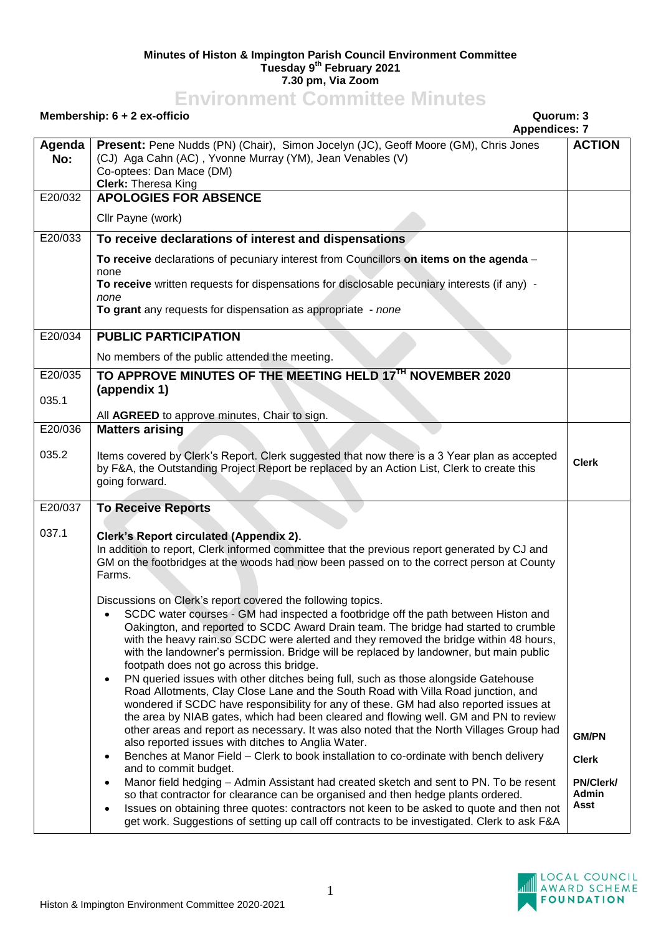## **Minutes of Histon & Impington Parish Council Environment Committee Tuesday 9 th February 2021 7.30 pm, Via Zoom**

## **Environment Committee Minutes**

|               | Membership: 6 + 2 ex-officio<br>Quorum: 3<br><b>Appendices: 7</b>                                                                                                                                                                                                                                                                                                                                                                                                                                                                                                                                                                                                                                                                                                                                                                                                                                                                            |                                   |
|---------------|----------------------------------------------------------------------------------------------------------------------------------------------------------------------------------------------------------------------------------------------------------------------------------------------------------------------------------------------------------------------------------------------------------------------------------------------------------------------------------------------------------------------------------------------------------------------------------------------------------------------------------------------------------------------------------------------------------------------------------------------------------------------------------------------------------------------------------------------------------------------------------------------------------------------------------------------|-----------------------------------|
| Agenda<br>No: | Present: Pene Nudds (PN) (Chair), Simon Jocelyn (JC), Geoff Moore (GM), Chris Jones<br>(CJ) Aga Cahn (AC), Yvonne Murray (YM), Jean Venables (V)<br>Co-optees: Dan Mace (DM)<br><b>Clerk: Theresa King</b>                                                                                                                                                                                                                                                                                                                                                                                                                                                                                                                                                                                                                                                                                                                                   | <b>ACTION</b>                     |
| E20/032       | <b>APOLOGIES FOR ABSENCE</b>                                                                                                                                                                                                                                                                                                                                                                                                                                                                                                                                                                                                                                                                                                                                                                                                                                                                                                                 |                                   |
|               | Cllr Payne (work)                                                                                                                                                                                                                                                                                                                                                                                                                                                                                                                                                                                                                                                                                                                                                                                                                                                                                                                            |                                   |
| E20/033       | To receive declarations of interest and dispensations                                                                                                                                                                                                                                                                                                                                                                                                                                                                                                                                                                                                                                                                                                                                                                                                                                                                                        |                                   |
|               | To receive declarations of pecuniary interest from Councillors on items on the agenda -<br>none<br>To receive written requests for dispensations for disclosable pecuniary interests (if any) -<br>none<br>To grant any requests for dispensation as appropriate - none                                                                                                                                                                                                                                                                                                                                                                                                                                                                                                                                                                                                                                                                      |                                   |
| E20/034       | <b>PUBLIC PARTICIPATION</b>                                                                                                                                                                                                                                                                                                                                                                                                                                                                                                                                                                                                                                                                                                                                                                                                                                                                                                                  |                                   |
| E20/035       | No members of the public attended the meeting.<br>TO APPROVE MINUTES OF THE MEETING HELD 17TH NOVEMBER 2020                                                                                                                                                                                                                                                                                                                                                                                                                                                                                                                                                                                                                                                                                                                                                                                                                                  |                                   |
| 035.1         | (appendix 1)<br>All AGREED to approve minutes, Chair to sign.                                                                                                                                                                                                                                                                                                                                                                                                                                                                                                                                                                                                                                                                                                                                                                                                                                                                                |                                   |
| E20/036       | <b>Matters arising</b>                                                                                                                                                                                                                                                                                                                                                                                                                                                                                                                                                                                                                                                                                                                                                                                                                                                                                                                       |                                   |
| 035.2         | Items covered by Clerk's Report. Clerk suggested that now there is a 3 Year plan as accepted<br>by F&A, the Outstanding Project Report be replaced by an Action List, Clerk to create this<br>going forward.                                                                                                                                                                                                                                                                                                                                                                                                                                                                                                                                                                                                                                                                                                                                 | <b>Clerk</b>                      |
| E20/037       | <b>To Receive Reports</b>                                                                                                                                                                                                                                                                                                                                                                                                                                                                                                                                                                                                                                                                                                                                                                                                                                                                                                                    |                                   |
| 037.1         | Clerk's Report circulated (Appendix 2).<br>In addition to report, Clerk informed committee that the previous report generated by CJ and<br>GM on the footbridges at the woods had now been passed on to the correct person at County<br>Farms.                                                                                                                                                                                                                                                                                                                                                                                                                                                                                                                                                                                                                                                                                               |                                   |
|               | Discussions on Clerk's report covered the following topics.<br>SCDC water courses - GM had inspected a footbridge off the path between Histon and<br>Oakington, and reported to SCDC Award Drain team. The bridge had started to crumble<br>with the heavy rain.so SCDC were alerted and they removed the bridge within 48 hours,<br>with the landowner's permission. Bridge will be replaced by landowner, but main public<br>footpath does not go across this bridge.<br>PN queried issues with other ditches being full, such as those alongside Gatehouse<br>$\bullet$<br>Road Allotments, Clay Close Lane and the South Road with Villa Road junction, and<br>wondered if SCDC have responsibility for any of these. GM had also reported issues at<br>the area by NIAB gates, which had been cleared and flowing well. GM and PN to review<br>other areas and report as necessary. It was also noted that the North Villages Group had |                                   |
|               | also reported issues with ditches to Anglia Water.<br>Benches at Manor Field - Clerk to book installation to co-ordinate with bench delivery                                                                                                                                                                                                                                                                                                                                                                                                                                                                                                                                                                                                                                                                                                                                                                                                 | <b>GM/PN</b>                      |
|               | and to commit budget.                                                                                                                                                                                                                                                                                                                                                                                                                                                                                                                                                                                                                                                                                                                                                                                                                                                                                                                        | <b>Clerk</b>                      |
|               | Manor field hedging - Admin Assistant had created sketch and sent to PN. To be resent<br>so that contractor for clearance can be organised and then hedge plants ordered.<br>Issues on obtaining three quotes: contractors not keen to be asked to quote and then not<br>$\bullet$<br>get work. Suggestions of setting up call off contracts to be investigated. Clerk to ask F&A                                                                                                                                                                                                                                                                                                                                                                                                                                                                                                                                                            | <b>PN/Clerk/</b><br>Admin<br>Asst |

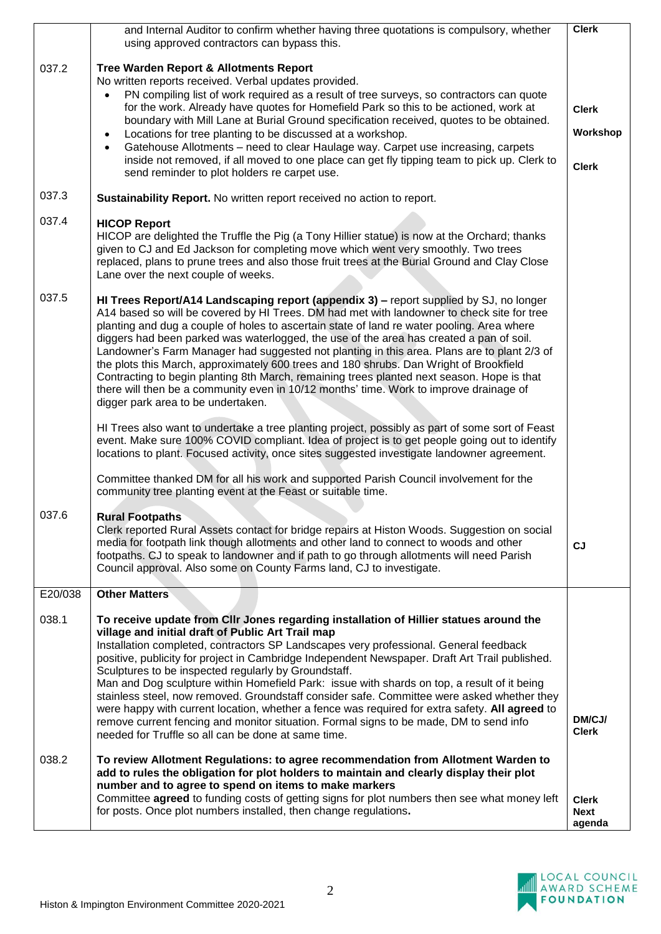|         | and Internal Auditor to confirm whether having three quotations is compulsory, whether<br>using approved contractors can bypass this.                                                                                                                                                                                                                                                                                                                                                                                                                                                                                                                                                                                                                                                                                                          | <b>Clerk</b>                             |
|---------|------------------------------------------------------------------------------------------------------------------------------------------------------------------------------------------------------------------------------------------------------------------------------------------------------------------------------------------------------------------------------------------------------------------------------------------------------------------------------------------------------------------------------------------------------------------------------------------------------------------------------------------------------------------------------------------------------------------------------------------------------------------------------------------------------------------------------------------------|------------------------------------------|
| 037.2   | <b>Tree Warden Report &amp; Allotments Report</b><br>No written reports received. Verbal updates provided.<br>PN compiling list of work required as a result of tree surveys, so contractors can quote<br>for the work. Already have quotes for Homefield Park so this to be actioned, work at<br>boundary with Mill Lane at Burial Ground specification received, quotes to be obtained.<br>Locations for tree planting to be discussed at a workshop.<br>$\bullet$<br>Gatehouse Allotments – need to clear Haulage way. Carpet use increasing, carpets<br>$\bullet$<br>inside not removed, if all moved to one place can get fly tipping team to pick up. Clerk to<br>send reminder to plot holders re carpet use.                                                                                                                           | <b>Clerk</b><br>Workshop<br><b>Clerk</b> |
| 037.3   | Sustainability Report. No written report received no action to report.                                                                                                                                                                                                                                                                                                                                                                                                                                                                                                                                                                                                                                                                                                                                                                         |                                          |
| 037.4   | <b>HICOP Report</b><br>HICOP are delighted the Truffle the Pig (a Tony Hillier statue) is now at the Orchard; thanks<br>given to CJ and Ed Jackson for completing move which went very smoothly. Two trees<br>replaced, plans to prune trees and also those fruit trees at the Burial Ground and Clay Close<br>Lane over the next couple of weeks.                                                                                                                                                                                                                                                                                                                                                                                                                                                                                             |                                          |
| 037.5   | HI Trees Report/A14 Landscaping report (appendix 3) - report supplied by SJ, no longer<br>A14 based so will be covered by HI Trees. DM had met with landowner to check site for tree<br>planting and dug a couple of holes to ascertain state of land re water pooling. Area where<br>diggers had been parked was waterlogged, the use of the area has created a pan of soil.<br>Landowner's Farm Manager had suggested not planting in this area. Plans are to plant 2/3 of<br>the plots this March, approximately 600 trees and 180 shrubs. Dan Wright of Brookfield<br>Contracting to begin planting 8th March, remaining trees planted next season. Hope is that<br>there will then be a community even in 10/12 months' time. Work to improve drainage of<br>digger park area to be undertaken.                                           |                                          |
|         | HI Trees also want to undertake a tree planting project, possibly as part of some sort of Feast<br>event. Make sure 100% COVID compliant. Idea of project is to get people going out to identify<br>locations to plant. Focused activity, once sites suggested investigate landowner agreement.                                                                                                                                                                                                                                                                                                                                                                                                                                                                                                                                                |                                          |
|         | Committee thanked DM for all his work and supported Parish Council involvement for the<br>community tree planting event at the Feast or suitable time.                                                                                                                                                                                                                                                                                                                                                                                                                                                                                                                                                                                                                                                                                         |                                          |
| 037.6   | <b>Rural Footpaths</b><br>Clerk reported Rural Assets contact for bridge repairs at Histon Woods. Suggestion on social<br>media for footpath link though allotments and other land to connect to woods and other<br>footpaths. CJ to speak to landowner and if path to go through allotments will need Parish<br>Council approval. Also some on County Farms land, CJ to investigate.                                                                                                                                                                                                                                                                                                                                                                                                                                                          | CJ                                       |
| E20/038 | <b>Other Matters</b>                                                                                                                                                                                                                                                                                                                                                                                                                                                                                                                                                                                                                                                                                                                                                                                                                           |                                          |
| 038.1   | To receive update from CIIr Jones regarding installation of Hillier statues around the<br>village and initial draft of Public Art Trail map<br>Installation completed, contractors SP Landscapes very professional. General feedback<br>positive, publicity for project in Cambridge Independent Newspaper. Draft Art Trail published.<br>Sculptures to be inspected regularly by Groundstaff.<br>Man and Dog sculpture within Homefield Park: issue with shards on top, a result of it being<br>stainless steel, now removed. Groundstaff consider safe. Committee were asked whether they<br>were happy with current location, whether a fence was required for extra safety. All agreed to<br>remove current fencing and monitor situation. Formal signs to be made, DM to send info<br>needed for Truffle so all can be done at same time. | DM/CJ/<br><b>Clerk</b>                   |
| 038.2   | To review Allotment Regulations: to agree recommendation from Allotment Warden to<br>add to rules the obligation for plot holders to maintain and clearly display their plot<br>number and to agree to spend on items to make markers<br>Committee agreed to funding costs of getting signs for plot numbers then see what money left<br>for posts. Once plot numbers installed, then change regulations.                                                                                                                                                                                                                                                                                                                                                                                                                                      | <b>Clerk</b><br><b>Next</b><br>agenda    |

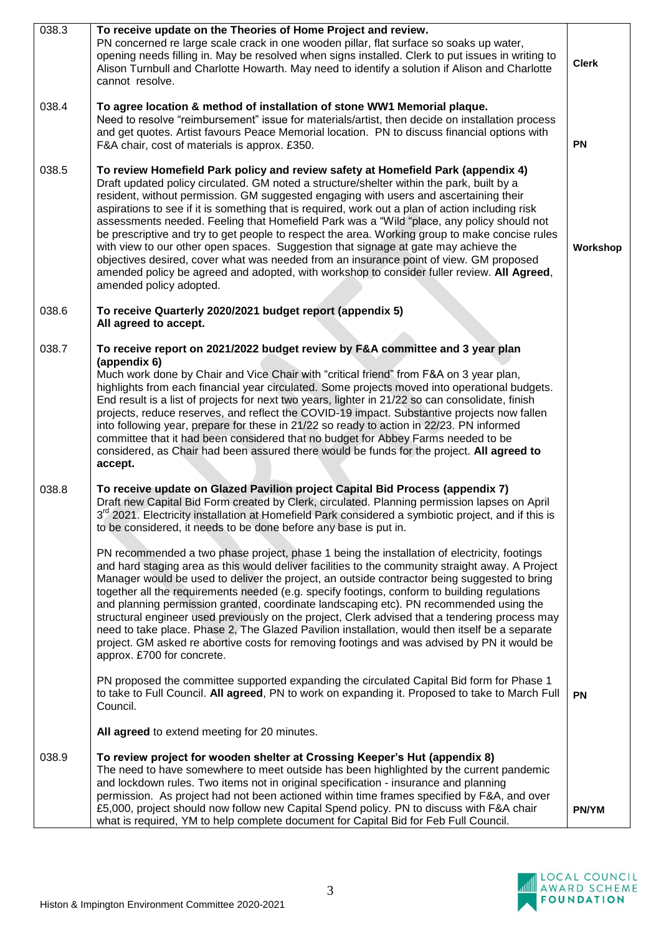| 038.3 | To receive update on the Theories of Home Project and review.<br>PN concerned re large scale crack in one wooden pillar, flat surface so soaks up water,<br>opening needs filling in. May be resolved when signs installed. Clerk to put issues in writing to<br>Alison Turnbull and Charlotte Howarth. May need to identify a solution if Alison and Charlotte<br>cannot resolve.                                                                                                                                                                                                                                                                                                                                                                                                                                                                                                  | <b>Clerk</b> |
|-------|-------------------------------------------------------------------------------------------------------------------------------------------------------------------------------------------------------------------------------------------------------------------------------------------------------------------------------------------------------------------------------------------------------------------------------------------------------------------------------------------------------------------------------------------------------------------------------------------------------------------------------------------------------------------------------------------------------------------------------------------------------------------------------------------------------------------------------------------------------------------------------------|--------------|
| 038.4 | To agree location & method of installation of stone WW1 Memorial plaque.<br>Need to resolve "reimbursement" issue for materials/artist, then decide on installation process<br>and get quotes. Artist favours Peace Memorial location. PN to discuss financial options with<br>F&A chair, cost of materials is approx. £350.                                                                                                                                                                                                                                                                                                                                                                                                                                                                                                                                                        | PN           |
| 038.5 | To review Homefield Park policy and review safety at Homefield Park (appendix 4)<br>Draft updated policy circulated. GM noted a structure/shelter within the park, built by a<br>resident, without permission. GM suggested engaging with users and ascertaining their<br>aspirations to see if it is something that is required, work out a plan of action including risk<br>assessments needed. Feeling that Homefield Park was a "Wild "place, any policy should not<br>be prescriptive and try to get people to respect the area. Working group to make concise rules<br>with view to our other open spaces. Suggestion that signage at gate may achieve the<br>objectives desired, cover what was needed from an insurance point of view. GM proposed<br>amended policy be agreed and adopted, with workshop to consider fuller review. All Agreed,<br>amended policy adopted. | Workshop     |
| 038.6 | To receive Quarterly 2020/2021 budget report (appendix 5)<br>All agreed to accept.                                                                                                                                                                                                                                                                                                                                                                                                                                                                                                                                                                                                                                                                                                                                                                                                  |              |
| 038.7 | To receive report on 2021/2022 budget review by F&A committee and 3 year plan<br>(appendix 6)<br>Much work done by Chair and Vice Chair with "critical friend" from F&A on 3 year plan,<br>highlights from each financial year circulated. Some projects moved into operational budgets.<br>End result is a list of projects for next two years, lighter in 21/22 so can consolidate, finish<br>projects, reduce reserves, and reflect the COVID-19 impact. Substantive projects now fallen<br>into following year, prepare for these in 21/22 so ready to action in 22/23. PN informed<br>committee that it had been considered that no budget for Abbey Farms needed to be<br>considered, as Chair had been assured there would be funds for the project. All agreed to<br>accept.                                                                                                |              |
| 038.8 | To receive update on Glazed Pavilion project Capital Bid Process (appendix 7)<br>Draft new Capital Bid Form created by Clerk, circulated. Planning permission lapses on April<br>3 <sup>rd</sup> 2021. Electricity installation at Homefield Park considered a symbiotic project, and if this is<br>to be considered, it needs to be done before any base is put in.                                                                                                                                                                                                                                                                                                                                                                                                                                                                                                                |              |
|       | PN recommended a two phase project, phase 1 being the installation of electricity, footings<br>and hard staging area as this would deliver facilities to the community straight away. A Project<br>Manager would be used to deliver the project, an outside contractor being suggested to bring<br>together all the requirements needed (e.g. specify footings, conform to building regulations<br>and planning permission granted, coordinate landscaping etc). PN recommended using the<br>structural engineer used previously on the project, Clerk advised that a tendering process may<br>need to take place. Phase 2, The Glazed Pavilion installation, would then itself be a separate<br>project. GM asked re abortive costs for removing footings and was advised by PN it would be<br>approx. £700 for concrete.                                                          |              |
|       | PN proposed the committee supported expanding the circulated Capital Bid form for Phase 1<br>to take to Full Council. All agreed, PN to work on expanding it. Proposed to take to March Full<br>Council.                                                                                                                                                                                                                                                                                                                                                                                                                                                                                                                                                                                                                                                                            | <b>PN</b>    |
|       | All agreed to extend meeting for 20 minutes.                                                                                                                                                                                                                                                                                                                                                                                                                                                                                                                                                                                                                                                                                                                                                                                                                                        |              |
| 038.9 | To review project for wooden shelter at Crossing Keeper's Hut (appendix 8)<br>The need to have somewhere to meet outside has been highlighted by the current pandemic<br>and lockdown rules. Two items not in original specification - insurance and planning<br>permission. As project had not been actioned within time frames specified by F&A, and over                                                                                                                                                                                                                                                                                                                                                                                                                                                                                                                         |              |
|       | £5,000, project should now follow new Capital Spend policy. PN to discuss with F&A chair<br>what is required, YM to help complete document for Capital Bid for Feb Full Council.                                                                                                                                                                                                                                                                                                                                                                                                                                                                                                                                                                                                                                                                                                    | PN/YM        |